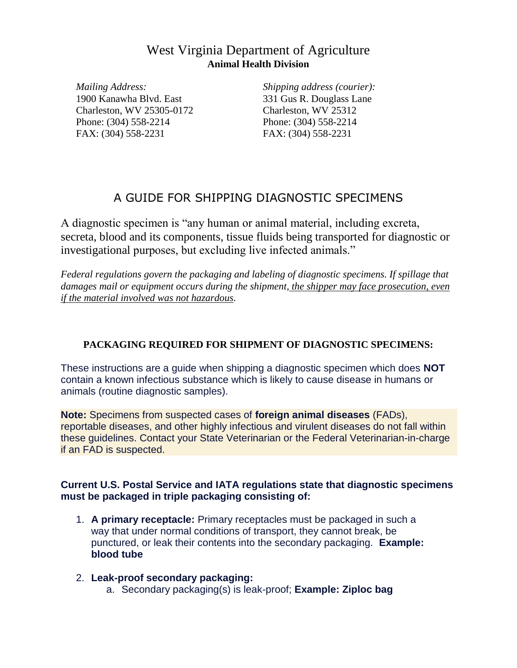# West Virginia Department of Agriculture **Animal Health Division**

*Mailing Address:* 1900 Kanawha Blvd. East Charleston, WV 25305-0172 Phone: (304) 558-2214 FAX: (304) 558-2231

*Shipping address (courier):* 331 Gus R. Douglass Lane Charleston, WV 25312 Phone: (304) 558-2214 FAX: (304) 558-2231

# A GUIDE FOR SHIPPING DIAGNOSTIC SPECIMENS

A diagnostic specimen is "any human or animal material, including excreta, secreta, blood and its components, tissue fluids being transported for diagnostic or investigational purposes, but excluding live infected animals."

*Federal regulations govern the packaging and labeling of diagnostic specimens. If spillage that damages mail or equipment occurs during the shipment, the shipper may face prosecution, even if the material involved was not hazardous.*

### **PACKAGING REQUIRED FOR SHIPMENT OF DIAGNOSTIC SPECIMENS:**

These instructions are a guide when shipping a diagnostic specimen which does **NOT** contain a known infectious substance which is likely to cause disease in humans or animals (routine diagnostic samples).

**Note:** Specimens from suspected cases of **foreign animal diseases** (FADs), reportable diseases, and other highly infectious and virulent diseases do not fall within these guidelines. Contact your State Veterinarian or the Federal Veterinarian-in-charge if an FAD is suspected.

#### **Current U.S. Postal Service and IATA regulations state that diagnostic specimens must be packaged in triple packaging consisting of:**

- 1. **A primary receptacle:** Primary receptacles must be packaged in such a way that under normal conditions of transport, they cannot break, be punctured, or leak their contents into the secondary packaging. **Example: blood tube**
- 2. **Leak-proof secondary packaging:**
	- a. Secondary packaging(s) is leak-proof; **Example: Ziploc bag**